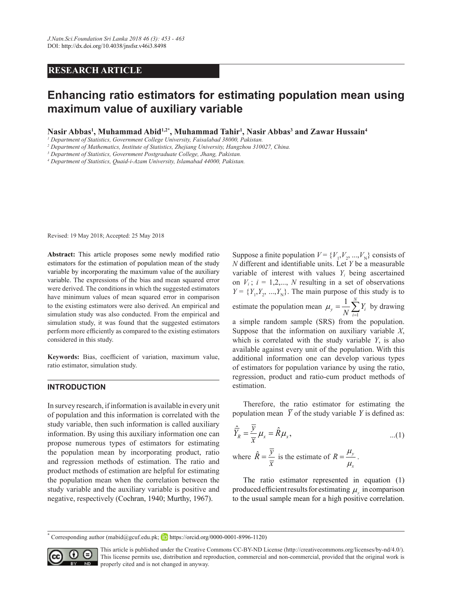# **RESEARCH ARTICLE**

# **Enhancing ratio estimators for estimating population mean using maximum value of auxiliary variable**

**Nasir Abbas1 , Muhammad Abid1,2\*, Muhammad Tahir1 , Nasir Abbas3 and Zawar Hussain4**

*1 Department of Statistics, Government College University, Faisalabad 38000, Pakistan.*

*2 Department of Mathematics, Institute of Statistics, Zhejiang University, Hangzhou 310027, China.*

*3 Department of Statistics, Government Postgraduate College, Jhang, Pakistan.*

*4 Department of Statistics, Quaid-i-Azam University, Islamabad 44000, Pakistan.*

Revised: 19 May 2018; Accepted: 25 May 2018

**Abstract:** This article proposes some newly modified ratio estimators for the estimation of population mean of the study variable by incorporating the maximum value of the auxiliary variable. The expressions of the bias and mean squared error were derived. The conditions in which the suggested estimators have minimum values of mean squared error in comparison to the existing estimators were also derived. An empirical and simulation study was also conducted. From the empirical and simulation study, it was found that the suggested estimators perform more efficiently as compared to the existing estimators considered in this study.

**Keywords:** Bias, coefficient of variation, maximum value, ratio estimator, simulation study.

#### **INTRODUCTION**

In survey research, if information is available in every unit of population and this information is correlated with the study variable, then such information is called auxiliary information. By using this auxiliary information one can propose numerous types of estimators for estimating the population mean by incorporating product, ratio and regression methods of estimation. The ratio and product methods of estimation are helpful for estimating the population mean when the correlation between the study variable and the auxiliary variable is positive and negative, respectively (Cochran, 1940; Murthy, 1967).

Suppose a finite population  $V = \{V_1, V_2, ..., V_N\}$  consists of *N* different and identifiable units. Let *Y* be a measurable variable of interest with values *Yi* being ascertained on  $V_i$ ;  $i = 1, 2, \dots, N$  resulting in a set of observations  $Y = \{Y_1, Y_2, ..., Y_N\}$ . The main purpose of this study is to estimate the population mean  $\mu_y = \frac{1}{N} \sum_{i=1}^{N}$ 1 *<sup>N</sup>*  $y = N \sum_{i=1}^{N} I_i$  $\mu_y = \frac{1}{N} \sum_{i=1}^{N} Y_i$  by drawing a simple random sample (SRS) from the population. Suppose that the information on auxiliary variable *Χ*, which is correlated with the study variable *Y*, is also available against every unit of the population. With this additional information one can develop various types of estimators for population variance by using the ratio, regression, product and ratio-cum product methods of estimation.

Therefore, the ratio estimator for estimating the population mean  $\overline{Y}$  of the study variable *Y* is defined as:

$$
\hat{\overline{Y}}_R = \frac{\overline{y}}{\overline{x}} \mu_x = \hat{R} \mu_x, \qquad ...(1)
$$
  
where  $\hat{R} = \frac{\overline{y}}{\overline{x}}$  is the estimate of  $R = \frac{\mu_y}{\mu_x}$ .

The ratio estimator represented in equation (1) produced efficient results for estimating  $\mu_{\nu}$  in comparison to the usual sample mean for a high positive correlation.

\* Corresponding author (mabid@gcuf.edu.pk; **iD** https://orcid.org/0000-0001-8996-1120)



This article is published under the Creative Commons CC-BY-ND License (http://creativecommons.org/licenses/by-nd/4.0/). This license permits use, distribution and reproduction, commercial and non-commercial, provided that the original work is **ND** properly cited and is not changed in anyway.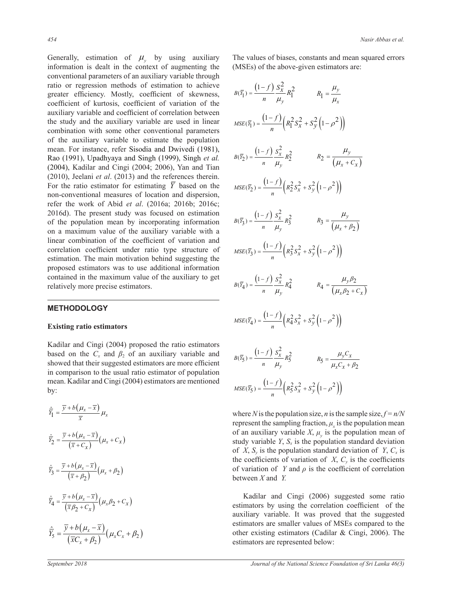Generally, estimation of  $\mu$ <sub>y</sub> by using auxiliary information is dealt in the context of augmenting the conventional parameters of an auxiliary variable through ratio or regression methods of estimation to achieve greater efficiency. Mostly, coefficient of skewness, coefficient of kurtosis, coefficient of variation of the auxiliary variable and coefficient of correlation between the study and the auxiliary variable are used in linear combination with some other conventional parameters of the auxiliary variable to estimate the population mean. For instance, refer Sisodia and Dwivedi (1981), Rao (1991), Upadhyaya and Singh (1999), Singh *et al.* (2004), Kadilar and Cingi (2004; 2006), Yan and Tian (2010), Jeelani *et al*. (2013) and the references therein. For the ratio estimator for estimating  $\overline{Y}$  based on the non-conventional measures of location and dispersion, refer the work of Abid *et al*. (2016a; 2016b; 2016c; 2016d). The present study was focused on estimation of the population mean by incorporating information on a maximum value of the auxiliary variable with a linear combination of the coefficient of variation and correlation coefficient under ratio type structure of estimation. The main motivation behind suggesting the proposed estimators was to use additional information contained in the maximum value of the auxiliary to get relatively more precise estimators.

### **METHODOLOGY**

#### **Existing ratio estimators**

Kadilar and Cingi (2004) proposed the ratio estimators based on the  $C_x$  and  $\beta_2$  of an auxiliary variable and showed that their suggested estimators are more efficient in comparison to the usual ratio estimator of population mean. Kadilar and Cingi (2004) estimators are mentioned by:

$$
\hat{\overline{Y}}_1 = \frac{\overline{y} + b(\mu_x - \overline{x})}{\overline{x}} \mu_x
$$
\n
$$
\hat{\overline{Y}}_2 = \frac{\overline{y} + b(\mu_x - \overline{x})}{(\overline{x} + C_x)} (\mu_x + C_x)
$$
\n
$$
\hat{\overline{Y}}_3 = \frac{\overline{y} + b(\mu_x - \overline{x})}{(\overline{x} + \beta_2)} (\mu_x + \beta_2)
$$
\n
$$
\hat{\overline{Y}}_4 = \frac{\overline{y} + b(\mu_x - \overline{x})}{(\overline{x}\beta_2 + C_x)} (\mu_x \beta_2 + C_x)
$$
\n
$$
\hat{\overline{Y}}_5 = \frac{\overline{y} + b(\mu_x - \overline{x})}{(\overline{x}C_x + \beta_2)} (\mu_x C_x + \beta_2)
$$

The values of biases, constants and mean squared errors (MSEs) of the above-given estimators are:

$$
B(\bar{Y}_1) = \frac{(1-f)}{n} \frac{S_x^2}{\mu_y} R_1^2
$$
  
\n
$$
MSE(\bar{Y}_1) = \frac{(1-f)}{n} \left( R_1^2 S_x^2 + S_y^2 (1-\rho^2) \right)
$$
  
\n
$$
B(\bar{Y}_2) = \frac{(1-f)}{n} \frac{S_x^2}{\mu_y} R_2^2
$$
  
\n
$$
R_2 = \frac{\mu_y}{(\mu_x + C_x)}
$$
  
\n
$$
MSE(\bar{Y}_2) = \frac{(1-f)}{n} \left( R_2^2 S_x^2 + S_y^2 (1-\rho^2) \right)
$$
  
\n
$$
B(\bar{Y}_3) = \frac{(1-f)}{n} \frac{S_x^2}{\mu_y} R_3^2
$$
  
\n
$$
R_3 = \frac{\mu_y}{(\mu_x + \beta_2)}
$$
  
\n
$$
MSE(\bar{Y}_3) = \frac{(1-f)}{n} \left( R_3^2 S_x^2 + S_y^2 (1-\rho^2) \right)
$$
  
\n
$$
B(\bar{Y}_4) = \frac{(1-f)}{n} \frac{S_x^2}{\mu_y} R_4^2
$$
  
\n
$$
R_4 = \frac{\mu_y \beta_2}{(\mu_x \beta_2 + C_x)}
$$
  
\n
$$
MSE(\bar{Y}_4) = \frac{(1-f)}{n} \left( R_4^2 S_x^2 + S_y^2 (1-\rho^2) \right)
$$
  
\n
$$
B(\bar{Y}_5) = \frac{(1-f)}{n} \frac{S_x^2}{\mu_y} R_5^2
$$
  
\n
$$
R_5 = \frac{\mu_y C_x}{\mu_x C_x + \beta_2}
$$
  
\n
$$
MSE(\bar{Y}_5) = \frac{(1-f)}{n} \left( R_5^2 S_x^2 + S_y^2 (1-\rho^2) \right)
$$

where *N* is the population size, *n* is the sample size,  $f = n/N$ represent the sampling fraction,  $\mu_x$  is the population mean of an auxiliary variable *X*,  $\mu$ <sub>*y*</sub> is the population mean of study variable  $Y$ ,  $S_x$  is the population standard deviation of *X*,  $S_v$  is the population standard deviation of *Y*,  $C_x$  is the coefficients of variation of  $X$ ,  $C<sub>v</sub>$  is the coefficients of variation of *Y* and  $\rho$  is the coefficient of correlation between *X* and *Y.*

Kadilar and Cingi (2006) suggested some ratio estimators by using the correlation coefficient of the auxiliary variable. It was proved that the suggested estimators are smaller values of MSEs compared to the other existing estimators (Cadilar & Cingi, 2006). The estimators are represented below: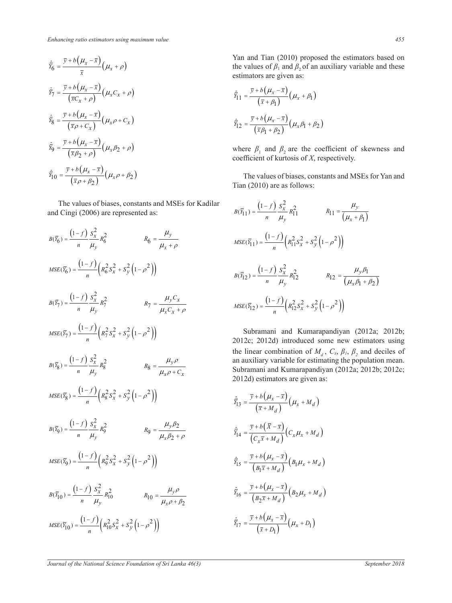$$
\hat{\bar{Y}}_6 = \frac{\bar{y} + b(\mu_x - \bar{x})}{\bar{x}} (\mu_x + \rho)
$$
\n
$$
\hat{\bar{Y}}_7 = \frac{\bar{y} + b(\mu_x - \bar{x})}{(\bar{x}C_x + \rho)} (\mu_x C_x + \rho)
$$
\n
$$
\hat{\bar{Y}}_8 = \frac{\bar{y} + b(\mu_x - \bar{x})}{(\bar{x}\rho + C_x)} (\mu_x \rho + C_x)
$$
\n
$$
\hat{\bar{Y}}_9 = \frac{\bar{y} + b(\mu_x - \bar{x})}{(\bar{x}\rho_2 + \rho)} (\mu_x \rho_2 + \rho)
$$
\n
$$
\hat{\bar{Y}}_{10} = \frac{\bar{y} + b(\mu_x - \bar{x})}{(\bar{x}\rho + \rho_2)} (\mu_x \rho + \rho_2)
$$

The values of biases, constants and MSEs for Kadilar and Cingi (2006) are represented as:

$$
B(\bar{Y}_6) = \frac{(1-f)}{n} \frac{S_x^2}{\mu_y} R_6^2
$$
  
\n
$$
MSE(\bar{Y}_6) = \frac{(1-f)}{n} \left( R_6^2 S_x^2 + S_y^2 (1 - \rho^2) \right)
$$
  
\n
$$
B(\bar{Y}_7) = \frac{(1-f)}{n} \frac{S_x^2}{\mu_y} R_7^2
$$
  
\n
$$
R_7 = \frac{\mu_y C_x}{\mu_x C_x + \rho}
$$
  
\n
$$
MSE(\bar{Y}_7) = \frac{(1-f)}{n} \left( R_7^2 S_x^2 + S_y^2 (1 - \rho^2) \right)
$$
  
\n
$$
B(\bar{Y}_8) = \frac{(1-f)}{n} \frac{S_x^2}{\mu_y} R_8^2
$$
  
\n
$$
R_8 = \frac{\mu_y \rho}{\mu_x \rho + C_x}
$$
  
\n
$$
MSE(\bar{Y}_8) = \frac{(1-f)}{n} \left( R_8^2 S_x^2 + S_y^2 (1 - \rho^2) \right)
$$
  
\n
$$
B(\bar{Y}_9) = \frac{(1-f)}{n} \frac{S_x^2}{\mu_y} R_9^2
$$
  
\n
$$
R_9 = \frac{\mu_y \rho_2}{\mu_x \rho_2 + \rho}
$$
  
\n
$$
MSE(\bar{Y}_9) = \frac{(1-f)}{n} \left( R_9^2 S_x^2 + S_y^2 (1 - \rho^2) \right)
$$
  
\n
$$
B(\bar{Y}_10) = \frac{(1-f)}{n} \frac{S_x^2}{\mu_y} R_9^2
$$
  
\n
$$
R_10 = \frac{\mu_y \rho_2}{\mu_x \rho + \rho_2}
$$
  
\n
$$
MSE(\bar{Y}_{10}) = \frac{(1-f)}{n} \left( R_{10}^2 S_x^2 + S_y^2 (1 - \rho^2) \right)
$$

Yan and Tian (2010) proposed the estimators based on the values of  $\beta_1$  and  $\beta_2$  of an auxiliary variable and these estimators are given as:

$$
\hat{\overline{Y}}_1 = \frac{\overline{y} + b(\mu_x - \overline{x})}{(\overline{x} + \beta_1)} (\mu_x + \beta_1)
$$

$$
\hat{\overline{Y}}_1 = \frac{\overline{y} + b(\mu_x - \overline{x})}{(\overline{x}\beta_1 + \beta_2)} (\mu_x \beta_1 + \beta_2)
$$

where  $\beta_1$  and  $\beta_2$  are the coefficient of skewness and coefficient of kurtosis of *X*, respectively.

The values of biases, constants and MSEs for Yan and Tian (2010) are as follows:

$$
B(\overline{Y}_{11}) = \frac{(1-f)}{n} \frac{S_x^2}{\mu_y} R_{11}^2 \qquad R_{11} = \frac{\mu_y}{(\mu_x + \beta_1)}
$$
  
\n
$$
MSE(\overline{Y}_{11}) = \frac{(1-f)}{n} \left( R_{11}^2 S_x^2 + S_y^2 \left( 1 - \rho^2 \right) \right)
$$
  
\n
$$
B(\overline{Y}_{12}) = \frac{(1-f)}{n} \frac{S_x^2}{\mu_y} R_{12}^2 \qquad R_{12} = \frac{\mu_y \beta_1}{(\mu_x \beta_1 + \beta_2)}
$$
  
\n
$$
MSE(\overline{Y}_{12}) = \frac{(1-f)}{n} \left( R_{12}^2 S_x^2 + S_y^2 \left( 1 - \rho^2 \right) \right)
$$

Subramani and Kumarapandiyan (2012a; 2012b; 2012c; 2012d) introduced some new estimators using the linear combination of  $M_d$ ,  $C_x$ ,  $\beta_1$ ,  $\beta_2$  and deciles of an auxiliary variable for estimating the population mean. Subramani and Kumarapandiyan (2012a; 2012b; 2012c; 2012d) estimators are given as:

$$
\hat{\overline{Y}}_1 = \frac{\overline{y} + b(\mu_x - \overline{x})}{(\overline{x} + M_d)} (\mu_x + M_d)
$$
\n
$$
\hat{\overline{Y}}_1 = \frac{\overline{y} + b(\overline{X} - \overline{x})}{(\overline{C_x x} + M_d)} (C_x \mu_x + M_d)
$$
\n
$$
\hat{\overline{Y}}_1 = \frac{\overline{y} + b(\mu_x - \overline{x})}{(\overline{B_1 x} + M_d)} (B_1 \mu_x + M_d)
$$
\n
$$
\hat{\overline{Y}}_1 = \frac{\overline{y} + b(\mu_x - \overline{x})}{(\overline{B_2 x} + M_d)} (B_2 \mu_x + M_d)
$$
\n
$$
\hat{\overline{Y}}_1 = \frac{\overline{y} + b(\mu_x - \overline{x})}{(\overline{x} + D_1)} (\mu_x + D_1)
$$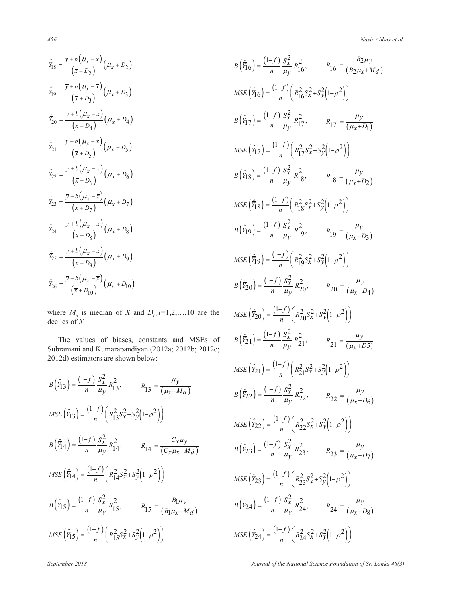$$
\hat{\overline{Y}}_18 = \frac{\overline{y} + b(\mu_x - \overline{x})}{(\overline{x} + D_2)} (\mu_x + D_2)
$$
\n
$$
\hat{\overline{Y}}_19 = \frac{\overline{y} + b(\mu_x - \overline{x})}{(\overline{x} + D_3)} (\mu_x + D_3)
$$
\n
$$
\hat{\overline{Y}}_20 = \frac{\overline{y} + b(\mu_x - \overline{x})}{(\overline{x} + D_4)} (\mu_x + D_4)
$$
\n
$$
\hat{\overline{Y}}_21 = \frac{\overline{y} + b(\mu_x - \overline{x})}{(\overline{x} + D_5)} (\mu_x + D_5)
$$
\n
$$
\hat{\overline{Y}}_22 = \frac{\overline{y} + b(\mu_x - \overline{x})}{(\overline{x} + D_6)} (\mu_x + D_6)
$$
\n
$$
\hat{\overline{Y}}_23 = \frac{\overline{y} + b(\mu_x - \overline{x})}{(\overline{x} + D_7)} (\mu_x + D_7)
$$
\n
$$
\hat{\overline{Y}}_24 = \frac{\overline{y} + b(\mu_x - \overline{x})}{(\overline{x} + D_8)} (\mu_x + D_8)
$$
\n
$$
\hat{\overline{Y}}_25 = \frac{\overline{y} + b(\mu_x - \overline{x})}{(\overline{x} + D_9)} (\mu_x + D_9)
$$
\n
$$
\hat{\overline{Y}}_26 = \frac{\overline{y} + b(\mu_x - \overline{x})}{(\overline{x} + D_{10})} (\mu_x + D_{10})
$$

where  $M_d$  is median of *X* and  $D_i$ ,  $i=1,2,...,10$  are the deciles of *X.*

The values of biases, constants and MSEs of Subramani and Kumarapandiyan (2012a; 2012b; 2012c; 2012d) estimators are shown below:

$$
B(\hat{\bar{Y}}_1S) = \frac{(1-f)}{n} \frac{S_x^2}{\mu y} R_{13}^2, \qquad R_{13} = \frac{\mu_y}{(\mu_x + M_d)}
$$
  
\n
$$
MSE(\hat{\bar{Y}}_1S) = \frac{(1-f)}{n} \left( R_{13}^2 S_x^2 + S_y^2 (1-\rho^2) \right)
$$
  
\n
$$
B(\hat{\bar{Y}}_1A) = \frac{(1-f)}{n} \frac{S_x^2}{\mu y} R_{14}^2, \qquad R_{14} = \frac{C_x \mu_y}{(C_x \mu_x + M_d)}
$$
  
\n
$$
MSE(\hat{\bar{Y}}_1A) = \frac{(1-f)}{n} \left( R_{14}^2 S_x^2 + S_y^2 (1-\rho^2) \right)
$$
  
\n
$$
B(\hat{\bar{Y}}_1S) = \frac{(1-f)}{n} \frac{S_x^2}{\mu y} R_{15}^2, \qquad R_{15} = \frac{B_1 \mu_y}{(B_1 \mu_x + M_d)}
$$
  
\n
$$
MSE(\hat{\bar{Y}}_1S) = \frac{(1-f)}{n} \left( R_{15}^2 S_x^2 + S_y^2 (1-\rho^2) \right)
$$

$$
B(\hat{Y}_16) = \frac{(1-f)}{n} \frac{S_x^2}{\mu y} R_1^2, \qquad R_16 = \frac{B_2\mu_y}{(B_2\mu_x + M_d)}
$$
  
\n
$$
MSE(\hat{Y}_16) = \frac{(1-f)}{n} \left( R_1^2 S_x^2 + S_y^2 (1-\rho^2) \right)
$$
  
\n
$$
B(\hat{Y}_17) = \frac{(1-f)}{n} \frac{S_x^2}{\mu y} R_1^2, \qquad R_{17} = \frac{\mu_y}{(\mu_x + D_1)}
$$
  
\n
$$
MSE(\hat{Y}_17) = \frac{(1-f)}{n} \left( R_1^2 S_x^2 + S_y^2 (1-\rho^2) \right)
$$
  
\n
$$
B(\hat{Y}_18) = \frac{(1-f)}{n} \frac{S_x^2}{\mu y} R_1^2, \qquad R_18 = \frac{\mu_y}{(\mu_x + D_2)}
$$
  
\n
$$
MSE(\hat{Y}_18) = \frac{(1-f)}{n} \left( R_1^2 S_x^2 + S_y^2 (1-\rho^2) \right)
$$
  
\n
$$
B(\hat{Y}_19) = \frac{(1-f)}{n} \frac{S_x^2}{\mu y} R_1^2, \qquad R_19 = \frac{\mu_y}{(\mu_x + D_3)}
$$
  
\n
$$
MSE(\hat{Y}_19) = \frac{(1-f)}{n} \left( R_1^2 S_x^2 + S_y^2 (1-\rho^2) \right)
$$
  
\n
$$
B(\hat{Y}_20) = \frac{(1-f)}{n} \left( R_1^2 S_x^2 + S_y^2 (1-\rho^2) \right)
$$
  
\n
$$
B(\hat{Y}_20) = \frac{(1-f)}{n} \left( R_2^2 S_x^2 + S_y^2 (1-\rho^2) \right)
$$
  
\n
$$
B(\hat{Y}_21) = \frac{(1-f)}{n} \left( R_2^2 S_x^2 + S_y^2 (1-\rho^2) \right)
$$
  
\n
$$
B(\hat{Y}_21) = \frac{(1-f)}{n} \left( R_2^2 S_x^2 + S_y^2 (1-\rho^2) \right)
$$
  
\n
$$
B(\hat{Y}_22) = \
$$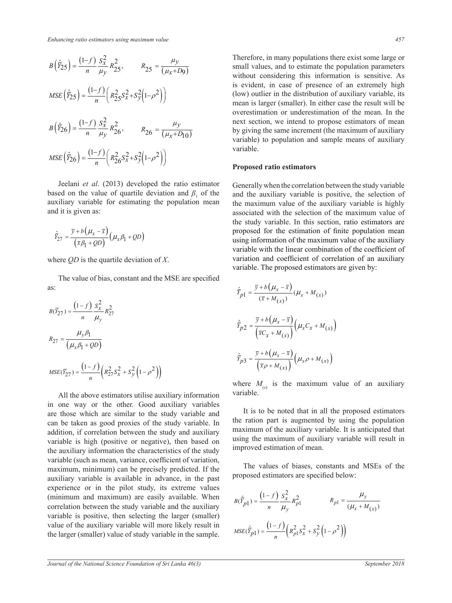$$
B(\hat{Y}_25) = \frac{(1-f)}{n} \frac{S_x^2}{\mu_y} R_{25}^2, \qquad R_{25} = \frac{\mu_y}{(\mu_x + D_9)}
$$
  
\n
$$
MSE(\hat{Y}_25) = \frac{(1-f)}{n} \left( R_{25}^2 S_x^2 + S_y^2 (1-\rho^2) \right)
$$
  
\n
$$
B(\hat{Y}_26) = \frac{(1-f)}{n} \frac{S_x^2}{\mu_y} R_{26}^2, \qquad R_{26} = \frac{\mu_y}{(\mu_x + D_{10})}
$$
  
\n
$$
MSE(\hat{Y}_26) = \frac{(1-f)}{n} \left( R_{26}^2 S_x^2 + S_y^2 (1-\rho^2) \right)
$$

Jeelani *et al*. (2013) developed the ratio estimator based on the value of quartile deviation and  $\beta_1$  of the auxiliary variable for estimating the population mean and it is given as:

$$
\hat{\bar{Y}}_{27} = \frac{\bar{y} + b(\mu_x - \bar{x})}{(\bar{x}\beta_1 + QD)} (\mu_x \beta_1 + QD)
$$

where *QD* is the quartile deviation of *X*.

The value of bias, constant and the MSE are specified as:

$$
B(\bar{Y}_{27}) = \frac{(1-f)}{n} \frac{S_x^2}{\mu_y} R_{27}^2
$$
  

$$
R_{27} = \frac{\mu_y \beta_1}{(\mu_x \beta_1 + QD)}
$$
  

$$
MSE(\bar{Y}_{27}) = \frac{(1-f)}{n} \left( R_{27}^2 S_x^2 + S_y^2 (1 - \rho^2) \right)
$$

All the above estimators utilise auxiliary information in one way or the other. Good auxiliary variables are those which are similar to the study variable and can be taken as good proxies of the study variable. In addition, if correlation between the study and auxiliary variable is high (positive or negative), then based on the auxiliary information the characteristics of the study variable (such as mean, variance, coefficient of variation, maximum, minimum) can be precisely predicted. If the auxiliary variable is available in advance, in the past experience or in the pilot study, its extreme values (minimum and maximum) are easily available. When correlation between the study variable and the auxiliary variable is positive, then selecting the larger (smaller) value of the auxiliary variable will more likely result in the larger (smaller) value of study variable in the sample.

Therefore, in many populations there exist some large or small values, and to estimate the population parameters without considering this information is sensitive. As is evident, in case of presence of an extremely high (low) outlier in the distribution of auxiliary variable, its mean is larger (smaller). In either case the result will be overestimation or underestimation of the mean. In the next section, we intend to propose estimators of mean by giving the same increment (the maximum of auxiliary variable) to population and sample means of auxiliary variable.

### **Proposed ratio estimators**

Generally when the correlation between the study variable and the auxiliary variable is positive, the selection of the maximum value of the auxiliary variable is highly associated with the selection of the maximum value of the study variable. In this section, ratio estimators are proposed for the estimation of finite population mean using information of the maximum value of the auxiliary variable with the linear combination of the coefficient of variation and coefficient of correlation of an auxiliary variable. The proposed estimators are given by:

$$
\hat{\overline{Y}}_{p1} = \frac{\overline{y} + b(\mu_x - \overline{x})}{(\overline{x} + M_{(x)})} (\mu_x + M_{(x)})
$$
\n
$$
\hat{\overline{Y}}_{p2} = \frac{\overline{y} + b(\mu_x - \overline{x})}{(\overline{x}C_x + M_{(x)})} (\mu_x C_x + M_{(x)})
$$
\n
$$
\hat{\overline{Y}}_{p3} = \frac{\overline{y} + b(\mu_x - \overline{x})}{(\overline{x}\rho + M_{(x)})} (\mu_x \rho + M_{(x)})
$$

where  $M_{(x)}$  is the maximum value of an auxiliary variable.

It is to be noted that in all the proposed estimators the ration part is augmented by using the population maximum of the auxiliary variable. It is anticipated that using the maximum of auxiliary variable will result in improved estimation of mean.

The values of biases, constants and MSEs of the proposed estimators are specified below:

$$
B(\hat{Y}_{p1}) = \frac{(1-f)}{n} \frac{S_x^2}{\mu_y} R_{p1}^2
$$
  

$$
MSE(\hat{Y}_{p1}) = \frac{(1-f)}{n} \left( R_{p1}^2 S_x^2 + S_y^2 \left( 1 - \rho^2 \right) \right)
$$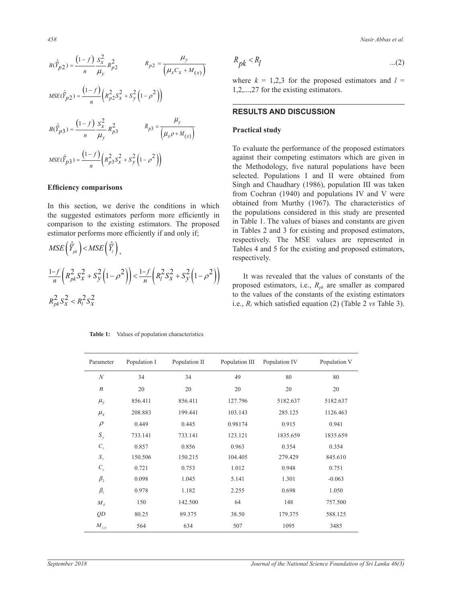$$
B(\hat{Y}_{p2}) = \frac{(1-f)}{n} \frac{S_x^2}{\mu_y} R_{p2}^2
$$
  
\n
$$
MSE(\hat{Y}_{p2}) = \frac{(1-f)}{n} \left( R_{p2}^2 S_x^2 + S_y^2 \left( 1 - \rho^2 \right) \right)
$$
  
\n
$$
B(\hat{Y}_{p3}) = \frac{(1-f)}{n} \frac{S_x^2}{\mu_y} R_{p3}^2
$$
  
\n
$$
R_{p3} = \frac{\mu_y}{\left( \mu_x \rho + M_{(x)} \right)}
$$
  
\n
$$
MSE(\hat{Y}_{p3}) = \frac{(1-f)}{n} \left( R_{p3}^2 S_x^2 + S_y^2 \left( 1 - \rho^2 \right) \right)
$$

# **Efficiency comparisons**

In this section, we derive the conditions in which the suggested estimators perform more efficiently in comparison to the existing estimators. The proposed estimator performs more efficiently if and only if;

$$
MSE\left(\hat{\overline{Y}}_{pk}\right) < MSE\left(\hat{\overline{Y}}_{l}\right),
$$
\n
$$
\frac{1-f}{n}\left(R_{pk}^{2}S_{x}^{2} + S_{y}^{2}\left(1-\rho^{2}\right)\right) < \frac{1-f}{n}\left(R_{l}^{2}S_{x}^{2} + S_{y}^{2}\left(1-\rho^{2}\right)\right)
$$
\n
$$
R_{pk}^{2}S_{x}^{2} < R_{l}^{2}S_{x}^{2}
$$

**Table 1:** Values of population characteristics

*458 Nasir Abbas et al.*

$$
R_{pk} < R_l \tag{2}
$$

where  $k = 1,2,3$  for the proposed estimators and  $l =$ 1,2,...,27 for the existing estimators.

# **RESULTS AND DISCUSSION**

#### **Practical study**

To evaluate the performance of the proposed estimators against their competing estimators which are given in the Methodology, five natural populations have been selected. Populations I and II were obtained from Singh and Chaudhary (1986), population III was taken from Cochran (1940) and populations IV and V were obtained from Murthy (1967). The characteristics of the populations considered in this study are presented in Table 1. The values of biases and constants are given in Tables 2 and 3 for existing and proposed estimators, respectively. The MSE values are represented in Tables 4 and 5 for the existing and proposed estimators, respectively.

It was revealed that the values of constants of the proposed estimators, i.e., *Rpk* are smaller as compared to the values of the constants of the existing estimators i.e., *Rl* which satisfied equation (2) (Table 2 *vs* Table 3).

| Parameter          | Population I | Population II | Population III | Population IV | Population V |
|--------------------|--------------|---------------|----------------|---------------|--------------|
| $\boldsymbol{N}$   | 34           | 34            | 49             | 80            | 80           |
| n                  | 20           | 20            | 20             | 20            | 20           |
| $\mu_{y}$          | 856.411      | 856.411       | 127.796        | 5182.637      | 5182.637     |
| $\mu_{\rm x}$      | 208.883      | 199.441       | 103.143        | 285.125       | 1126.463     |
| $\rho$             | 0.449        | 0.445         | 0.98174        | 0.915         | 0.941        |
| $S_{y}$            | 733.141      | 733.141       | 123.121        | 1835.659      | 1835.659     |
| $C_{y}$            | 0.857        | 0.856         | 0.963          | 0.354         | 0.354        |
| $\boldsymbol{S}_x$ | 150.506      | 150.215       | 104.405        | 279.429       | 845.610      |
| $C_{x}$            | 0.721        | 0.753         | 1.012          | 0.948         | 0.751        |
| $\beta_{2}$        | 0.098        | 1.045         | 5.141          | 1.301         | $-0.063$     |
| $\beta_{\rm l}$    | 0.978        | 1.182         | 2.255          | 0.698         | 1.050        |
| $M_d$              | 150          | 142.500       | 64             | 148           | 757.500      |
| QD                 | 80.25        | 89.375        | 38.50          | 179.375       | 588.125      |
| $M_{(x)}$          | 564          | 634           | 507            | 1095          | 3485         |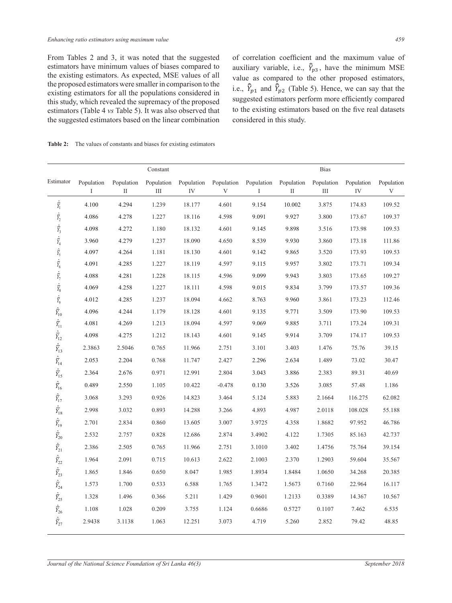From Tables 2 and 3, it was noted that the suggested of correlation coefficient and the max estimators have minimum values of biases compared to auxiliary variable, i.e.,  $\hat{Y}_{p3}$ , have the the existing estimators. As expected, MSE values of all value as compar-<br>the proposed estimators were smaller in comparison to the the proposed estimators were smaller in comparison to the existing estimators for all the populations considered in  $\frac{1.65}{1.81800}$ this study, which revealed the supremacy of the proposed and study, when revealed the supplematy of the proposed estimators (Table 4 *vs* Table 5). It was also observed that the suggested estimators based on the linear combination The proposed estimators were sinalier in comparison to the  $\hat{Y}_k$ <br>existing estimators for all the nopulations considered in

2 and 3, it was noted that the suggested of correlation coefficient and the maximum value of auxiliary variable, i.e.,  $\bar{Y}_{p3}$ , have the minimum MSE value as compared to the other proposed estimators, i.e.,  $\vec{Y}_{p1}$  and  $\vec{Y}_{p2}$  (Table 5). Hence, we can say that the existing equations considered in his study which revealed the supremacy of the proposed suggested estimators perform more efficiently compared to the existing estimators based on the five real datasets considered in this study.

**Table 2:** The values of constants and biases for existing estimators  $\epsilon$ s for existing estimators  $\text{Table 3:}$  The values of constants and biases for evisting estimators estimate the value of equipment and only to find MSE of material  $h$  able 2. The values of constants and biases for evisting estimators and the proposed estimators and the existing estimators and the existing estimators and the existing equal to the existing equal to the existing equal estimate the value of exhibition and only to ensuring equilibrium

|                                                                                                                                                                                                                                                              |                 |                 | Constant        |                  |                 |                 |                 | <b>Bias</b>     |                  |                 |
|--------------------------------------------------------------------------------------------------------------------------------------------------------------------------------------------------------------------------------------------------------------|-----------------|-----------------|-----------------|------------------|-----------------|-----------------|-----------------|-----------------|------------------|-----------------|
| Estimator                                                                                                                                                                                                                                                    | Population<br>I | Population<br>П | Population<br>Ш | Population<br>IV | Population<br>V | Population<br>I | Population<br>П | Population<br>Ш | Population<br>IV | Population<br>V |
| $\hat{\overline{Y_1}}$                                                                                                                                                                                                                                       | 4.100           | 4.294           | 1.239           | 18.177           | 4.601           | 9.154           | 10.002          | 3.875           | 174.83           | 109.52          |
|                                                                                                                                                                                                                                                              | 4.086           | 4.278           | 1.227           | 18.116           | 4.598           | 9.091           | 9.927           | 3.800           | 173.67           | 109.37          |
| $\begin{aligned}\label{eq:Riccati} \hat{\overline{Y}}_2 \;\; \hat{\overline{Y}}_3 \;\; \hat{\overline{Y}}_4 \;\; \hat{\overline{Y}}_5 \;\; \hat{\overline{Y}}_6 \;\; \hat{\overline{Y}}_7 \;\; \hat{\overline{Y}}_8 \;\; \hat{\overline{Y}}_9 \end{aligned}$ | 4.098           | 4.272           | 1.180           | 18.132           | 4.601           | 9.145           | 9.898           | 3.516           | 173.98           | 109.53          |
|                                                                                                                                                                                                                                                              | 3.960           | 4.279           | 1.237           | 18.090           | 4.650           | 8.539           | 9.930           | 3.860           | 173.18           | 111.86          |
|                                                                                                                                                                                                                                                              | 4.097           | 4.264           | 1.181           | 18.130           | 4.601           | 9.142           | 9.865           | 3.520           | 173.93           | 109.53          |
|                                                                                                                                                                                                                                                              | 4.091           | 4.285           | 1.227           | 18.119           | 4.597           | 9.115           | 9.957           | 3.802           | 173.71           | 109.34          |
|                                                                                                                                                                                                                                                              | 4.088           | 4.281           | 1.228           | 18.115           | 4.596           | 9.099           | 9.943           | 3.803           | 173.65           | 109.27          |
|                                                                                                                                                                                                                                                              | 4.069           | 4.258           | 1.227           | 18.111           | 4.598           | 9.015           | 9.834           | 3.799           | 173.57           | 109.36          |
|                                                                                                                                                                                                                                                              | 4.012           | 4.285           | 1.237           | 18.094           | 4.662           | 8.763           | 9.960           | 3.861           | 173.23           | 112.46          |
| $\sum_{10}$                                                                                                                                                                                                                                                  | 4.096           | 4.244           | 1.179           | 18.128           | 4.601           | 9.135           | 9.771           | 3.509           | 173.90           | 109.53          |
| $\hat{\overline{Y}}_{\!\!\!11}$                                                                                                                                                                                                                              | 4.081           | 4.269           | 1.213           | 18.094           | 4.597           | 9.069           | 9.885           | 3.711           | 173.24           | 109.31          |
| $\hat{\overline{Y}}_{12}$                                                                                                                                                                                                                                    | 4.098           | 4.275           | 1.212           | 18.143           | 4.601           | 9.145           | 9.914           | 3.709           | 174.17           | 109.53          |
| $\frac{\hat{}}{Y_{13}}$                                                                                                                                                                                                                                      | 2.3863          | 2.5046          | 0.765           | 11.966           | 2.751           | 3.101           | 3.403           | 1.476           | 75.76            | 39.15           |
| $\frac{\hat{}}{Y_{14}}$                                                                                                                                                                                                                                      | 2.053           | 2.204           | 0.768           | 11.747           | 2.427           | 2.296           | 2.634           | 1.489           | 73.02            | 30.47           |
| $\hat{\overline{Y}}_{15}$                                                                                                                                                                                                                                    | 2.364           | 2.676           | 0.971           | 12.991           | 2.804           | 3.043           | 3.886           | 2.383           | 89.31            | 40.69           |
| $\hat{\overline{Y}}_{16}$                                                                                                                                                                                                                                    | 0.489           | 2.550           | 1.105           | 10.422           | $-0.478$        | 0.130           | 3.526           | 3.085           | 57.48            | 1.186           |
| $\hat{\overline{Y}}_{17}$                                                                                                                                                                                                                                    | 3.068           | 3.293           | 0.926           | 14.823           | 3.464           | 5.124           | 5.883           | 2.1664          | 116.275          | 62.082          |
| $\hat{\overline{Y}}_{\!\!\!18}$                                                                                                                                                                                                                              | 2.998           | 3.032           | 0.893           | 14.288           | 3.266           | 4.893           | 4.987           | 2.0118          | 108.028          | 55.188          |
| $\hat{\overline{Y}}_{19}$                                                                                                                                                                                                                                    | 2.701           | 2.834           | 0.860           | 13.605           | 3.007           | 3.9725          | 4.358           | 1.8682          | 97.952           | 46.786          |
| $\hat{\overline{Y}}_{20}$                                                                                                                                                                                                                                    | 2.532           | 2.757           | 0.828           | 12.686           | 2.874           | 3.4902          | 4.122           | 1.7305          | 85.163           | 42.737          |
| $\hat{\overline{Y}}_{21}$                                                                                                                                                                                                                                    | 2.386           | 2.505           | 0.765           | 11.966           | 2.751           | 3.1010          | 3.402           | 1.4756          | 75.764           | 39.154          |
| $\hat{\overline{Y}}_{22}$                                                                                                                                                                                                                                    | 1.964           | 2.091           | 0.715           | 10.613           | 2.622           | 2.1003          | 2.370           | 1.2903          | 59.604           | 35.567          |
| $\hat{\overline{Y}}_{23}$                                                                                                                                                                                                                                    | 1.865           | 1.846           | 0.650           | 8.047            | 1.985           | 1.8934          | 1.8484          | 1.0650          | 34.268           | 20.385          |
| $\hat{\overline{Y}}_{24}$                                                                                                                                                                                                                                    | 1.573           | 1.700           | 0.533           | 6.588            | 1.765           | 1.3472          | 1.5673          | 0.7160          | 22.964           | 16.117          |
| $\hat{\overline{Y}}_{25}$                                                                                                                                                                                                                                    | 1.328           | 1.496           | 0.366           | 5.211            | 1.429           | 0.9601          | 1.2133          | 0.3389          | 14.367           | 10.567          |
| $\hat{\overline{Y}}_{26}$                                                                                                                                                                                                                                    | 1.108           | 1.028           | 0.209           | 3.755            | 1.124           | 0.6686          | 0.5727          | 0.1107          | 7.462            | 6.535           |
| $\hat{\overline{Y}}_{27}$                                                                                                                                                                                                                                    | 2.9438          | 3.1138          | 1.063           | 12.251           | 3.073           | 4.719           | 5.260           | 2.852           | 79.42            | 48.85           |
|                                                                                                                                                                                                                                                              |                 |                 |                 |                  |                 |                 |                 |                 |                  |                 |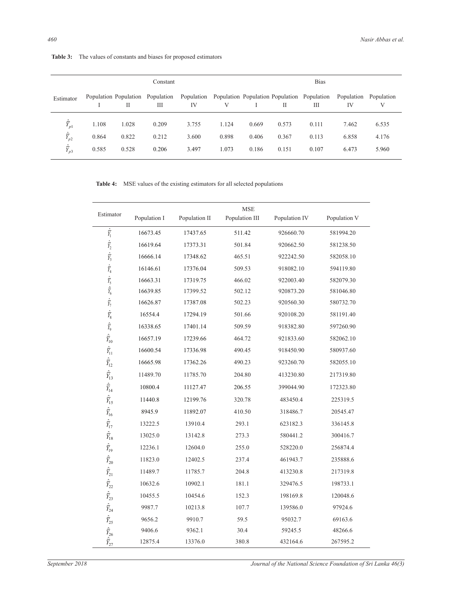|  | <b>Table 3:</b> The values of constants and biases for proposed estimators |  |  |
|--|----------------------------------------------------------------------------|--|--|
|--|----------------------------------------------------------------------------|--|--|

|                           |       |       | Constant                              |       |       |       |              | <b>Bias</b>                                                 |                  |                 |
|---------------------------|-------|-------|---------------------------------------|-------|-------|-------|--------------|-------------------------------------------------------------|------------------|-----------------|
| Estimator                 |       | Н     | Population Population Population<br>Ш | IV    | V     |       | $\mathbf{H}$ | Population Population Population Population Population<br>Ш | Population<br>IV | Population<br>V |
| $\hat{\overline{Y}}_{p1}$ | 1.108 | 1.028 | 0.209                                 | 3.755 | 1.124 | 0.669 | 0.573        | 0.111                                                       | 7.462            | 6.535           |
| $\hat{\bar{Y}}_{p2}$      | 0.864 | 0.822 | 0.212                                 | 3.600 | 0.898 | 0.406 | 0.367        | 0.113                                                       | 6.858            | 4.176           |
| $\frac{\hat{r}}{Y_{p3}}$  | 0.585 | 0.528 | 0.206                                 | 3.497 | 1.073 | 0.186 | 0.151        | 0.107                                                       | 6.473            | 5.960           |

**Table 4:** MSE values of the existing estimators for all selected populations

| Estimator                                                                                                                                                                                                                                                                                                                                                                                                                                                                                                                                                                                                 | Population I | Population II | <b>MSE</b><br>Population III | Population IV | Population V |
|-----------------------------------------------------------------------------------------------------------------------------------------------------------------------------------------------------------------------------------------------------------------------------------------------------------------------------------------------------------------------------------------------------------------------------------------------------------------------------------------------------------------------------------------------------------------------------------------------------------|--------------|---------------|------------------------------|---------------|--------------|
| $\frac{\widehat{\cdot}}{\widehat{Y_1}}$                                                                                                                                                                                                                                                                                                                                                                                                                                                                                                                                                                   | 16673.45     | 17437.65      | 511.42                       | 926660.70     | 581994.20    |
|                                                                                                                                                                                                                                                                                                                                                                                                                                                                                                                                                                                                           | 16619.64     | 17373.31      | 501.84                       | 920662.50     | 581238.50    |
| $\begin{aligned} \frac{\widehat{\overline{Y}}_2}{\widehat{Y}_3} \\ \frac{\widehat{\overline{Y}}_3}{\widehat{Y}_4} \\ \frac{\widehat{\overline{Y}}_5}{\widehat{Y}_6} \end{aligned}$                                                                                                                                                                                                                                                                                                                                                                                                                        | 16666.14     | 17348.62      | 465.51                       | 922242.50     | 582058.10    |
|                                                                                                                                                                                                                                                                                                                                                                                                                                                                                                                                                                                                           | 16146.61     | 17376.04      | 509.53                       | 918082.10     | 594119.80    |
|                                                                                                                                                                                                                                                                                                                                                                                                                                                                                                                                                                                                           | 16663.31     | 17319.75      | 466.02                       | 922003.40     | 582079.30    |
|                                                                                                                                                                                                                                                                                                                                                                                                                                                                                                                                                                                                           | 16639.85     | 17399.52      | 502.12                       | 920873.20     | 581046.80    |
|                                                                                                                                                                                                                                                                                                                                                                                                                                                                                                                                                                                                           | 16626.87     | 17387.08      | 502.23                       | 920560.30     | 580732.70    |
| $\begin{aligned} \hat{\overline{Y}}_7 \\ \hat{\overline{Y}}_8 \\ \hat{\overline{Y}}_9 \\ \hat{\overline{Y}}_{10} \\ \hat{\overline{Y}}_{11} \end{aligned}$                                                                                                                                                                                                                                                                                                                                                                                                                                                | 16554.4      | 17294.19      | 501.66                       | 920108.20     | 581191.40    |
|                                                                                                                                                                                                                                                                                                                                                                                                                                                                                                                                                                                                           | 16338.65     | 17401.14      | 509.59                       | 918382.80     | 597260.90    |
|                                                                                                                                                                                                                                                                                                                                                                                                                                                                                                                                                                                                           | 16657.19     | 17239.66      | 464.72                       | 921833.60     | 582062.10    |
|                                                                                                                                                                                                                                                                                                                                                                                                                                                                                                                                                                                                           | 16600.54     | 17336.98      | 490.45                       | 918450.90     | 580937.60    |
| $\hat{\overline{Y}}_{12}$                                                                                                                                                                                                                                                                                                                                                                                                                                                                                                                                                                                 | 16665.98     | 17362.26      | 490.23                       | 923260.70     | 582055.10    |
|                                                                                                                                                                                                                                                                                                                                                                                                                                                                                                                                                                                                           | 11489.70     | 11785.70      | 204.80                       | 413230.80     | 217319.80    |
| $\frac{\hat{\overline{Y}}_{13}}{\hat{\overline{Y}}_{14}}$                                                                                                                                                                                                                                                                                                                                                                                                                                                                                                                                                 | 10800.4      | 11127.47      | 206.55                       | 399044.90     | 172323.80    |
| $\frac{\hat{r}}{Y_{15}}$                                                                                                                                                                                                                                                                                                                                                                                                                                                                                                                                                                                  | 11440.8      | 12199.76      | 320.78                       | 483450.4      | 225319.5     |
|                                                                                                                                                                                                                                                                                                                                                                                                                                                                                                                                                                                                           | 8945.9       | 11892.07      | 410.50                       | 318486.7      | 20545.47     |
|                                                                                                                                                                                                                                                                                                                                                                                                                                                                                                                                                                                                           | 13222.5      | 13910.4       | 293.1                        | 623182.3      | 336145.8     |
|                                                                                                                                                                                                                                                                                                                                                                                                                                                                                                                                                                                                           | 13025.0      | 13142.8       | 273.3                        | 580441.2      | 300416.7     |
|                                                                                                                                                                                                                                                                                                                                                                                                                                                                                                                                                                                                           | 12236.1      | 12604.0       | 255.0                        | 528220.0      | 256874.4     |
|                                                                                                                                                                                                                                                                                                                                                                                                                                                                                                                                                                                                           | 11823.0      | 12402.5       | 237.4                        | 461943.7      | 235888.6     |
|                                                                                                                                                                                                                                                                                                                                                                                                                                                                                                                                                                                                           | 11489.7      | 11785.7       | 204.8                        | 413230.8      | 217319.8     |
|                                                                                                                                                                                                                                                                                                                                                                                                                                                                                                                                                                                                           | 10632.6      | 10902.1       | 181.1                        | 329476.5      | 198733.1     |
|                                                                                                                                                                                                                                                                                                                                                                                                                                                                                                                                                                                                           | 10455.5      | 10454.6       | 152.3                        | 198169.8      | 120048.6     |
| $\begin{array}{ccc}\n\hat{\overline{Y}}_1 & \hat{\overline{Y}}_1 \rightarrow & \hat{\overline{Y}}_1 \rightarrow & \hat{\overline{Y}}_2 \rightarrow & \hat{\overline{Y}}_2 \rightarrow & \hat{\overline{Y}}_2 \rightarrow & \hat{\overline{Y}}_2 \rightarrow & \hat{\overline{Y}}_2 \rightarrow & \hat{\overline{Y}}_2 \rightarrow & \hat{\overline{Y}}_2 \rightarrow & \hat{\overline{Y}}_2 \rightarrow & \hat{\overline{Y}}_2 \rightarrow & \hat{\overline{Y}}_2 \rightarrow & \hat{\overline{Y}}_2 \rightarrow & \hat{\overline{Y}}_2 \rightarrow & \hat{\overline{Y}}_2 \rightarrow & \hat{\overline{$ | 9987.7       | 10213.8       | 107.7                        | 139586.0      | 97924.6      |
|                                                                                                                                                                                                                                                                                                                                                                                                                                                                                                                                                                                                           | 9656.2       | 9910.7        | 59.5                         | 95032.7       | 69163.6      |
|                                                                                                                                                                                                                                                                                                                                                                                                                                                                                                                                                                                                           | 9406.6       | 9362.1        | 30.4                         | 59245.5       | 48266.6      |
|                                                                                                                                                                                                                                                                                                                                                                                                                                                                                                                                                                                                           | 12875.4      | 13376.0       | 380.8                        | 432164.6      | 267595.2     |

*September 2018 Journal of the National Science Foundation of Sri Lanka 46(3)*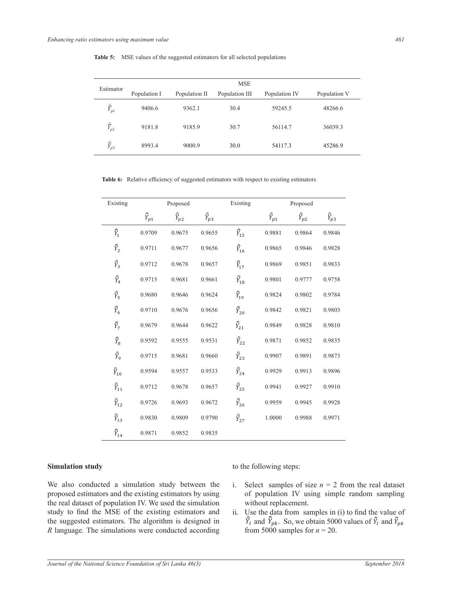|  | <b>Table 5:</b> MSE values of the suggested estimators for all selected populations |  |  |
|--|-------------------------------------------------------------------------------------|--|--|
|--|-------------------------------------------------------------------------------------|--|--|

|                                   | Estimator |              |               | <b>MSE</b>     |               |              |
|-----------------------------------|-----------|--------------|---------------|----------------|---------------|--------------|
|                                   |           | Population I | Population II | Population III | Population IV | Population V |
| $\frac{\hat{\cdot}}{\hat{\cdot}}$ | $I_{p1}$  | 9406.6       | 9362.1        | 30.4           | 59245.5       | 48266.6      |
| $\frac{\hat{\tau}}{V}$            | $Y_{p2}$  | 9181.8       | 9185.9        | 30.7           | 56114.7       | 36039.3      |
| $\frac{\hat{\cdot}}{\hat{\cdot}}$ | $I_{p3}$  | 8993.4       | 9000.9        | 30.0           | 54117.3       | 45286.9      |

Table 6: Relative efficiency of suggested estimators with respect to existing *Y* 11489.7 11785.7 204.8 413230.8 217319.8  $\overline{a}$ Table 6: Relative efficiency of suggested estimators with respect to existing Table 6: Relative efficiency of suggested estimators with respect to existing<br>  $\frac{d}{dt}$ using the expression given below:  $\frac{1}{2}$  $\mathbb{R}^n$ using the expression given below: Table 6: Relative efficiency of suggested estimators with respect to existing estimators and  $\epsilon$ Table 0. Kelative efficiency of suggests The comparison between the existing and proposed estimators are done on the basis of relative efficiency (RE). The RE of suggested estimators with respect to existing estimators are found by Table 6: Relative efficiency of suggested estimators with respect to existing estimators Table 6: Relative efficiency of suggested estimators with respect to existing estimators Table 6: Relative efficiency of suggested estimators with respect to existing estimators

| Existing                   |                          | Proposed                 |                          | Existing                 |                    | Proposed             |                          |
|----------------------------|--------------------------|--------------------------|--------------------------|--------------------------|--------------------|----------------------|--------------------------|
|                            | $\widehat{\bar{Y}}_{p1}$ | $\widehat{\bar{Y}}_{p2}$ | $\widehat{\bar{Y}}_{p3}$ |                          | $\widehat{Y}_{p1}$ | $\hat{\bar{Y}}_{p2}$ | $\widehat{\bar{Y}}_{p3}$ |
| $\hat{\bar{Y}}_1$          | 0.9709                   | 0.9675                   | 0.9655                   | $\widehat{\bar{Y}}_{15}$ | 0.9881             | 0.9864               | 0.9846                   |
| $\widehat{\bar{Y}}_2$      | 0.9711                   | 0.9677                   | 0.9656                   | $\widehat{\bar{Y}}_{16}$ | 0.9865             | 0.9846               | 0.9828                   |
| $\widehat{\bar{Y}}_3$      | 0.9712                   | 0.9678                   | 0.9657                   | $\widehat{\bar{Y}}_{17}$ | 0.9869             | 0.9851               | 0.9833                   |
| $\widehat{\bar{Y}}_4$      | 0.9715                   | 0.9681                   | 0.9661                   | $\widehat{\bar{Y}}_{18}$ | 0.9801             | 0.9777               | 0.9758                   |
| $\hat{\bar{Y}}_5$          | 0.9680                   | 0.9646                   | 0.9624                   | $\widehat{\bar{Y}}_{19}$ | 0.9824             | 0.9802               | 0.9784                   |
| $\hat{\bar{Y}}_6$          | 0.9710                   | 0.9676                   | 0.9656                   | $\widehat{\bar{Y}}_{20}$ | 0.9842             | 0.9821               | 0.9803                   |
| $\hat{\bar{Y}}_7$          | 0.9679                   | 0.9644                   | 0.9622                   | $\widehat{\bar{Y}}_{21}$ | 0.9849             | 0.9828               | 0.9810                   |
| $\widehat{\bar{Y}}_8$      | 0.9592                   | 0.9555                   | 0.9531                   | $\widehat{\bar{Y}}_{22}$ | 0.9871             | 0.9852               | 0.9835                   |
| $\widehat{\bar{Y}}_9$      | 0.9715                   | 0.9681                   | 0.9660                   | $\widehat{\bar{Y}}_{23}$ | 0.9907             | 0.9891               | 0.9873                   |
| $\widehat{\bar{Y}}_{1\,0}$ | 0.9594                   | 0.9557                   | 0.9533                   | $\widehat{\bar{Y}}_{24}$ | 0.9929             | 0.9913               | 0.9896                   |
| $\widehat{\bar{Y}}_{11}$   | 0.9712                   | 0.9678                   | 0.9657                   | $\widehat{\bar{Y}}_{25}$ | 0.9941             | 0.9927               | 0.9910                   |
| $\widehat{\bar{Y}}_{12}$   | 0.9726                   | 0.9693                   | 0.9672                   | $\hat{\bar{Y}}_{26}$     | 0.9959             | 0.9945               | 0.9928                   |
| $\widehat{\bar{Y}}_{13}$   | 0.9830                   | 0.9809                   | 0.9790                   | $\widehat{\bar{Y}}_{27}$ | 1.0000             | 0.9988               | 0.9971                   |
| $\widehat{\bar{Y}}_{14}$   | 0.9871                   | 0.9852                   | 0.9835                   |                          |                    |                      |                          |

#### Simulation study to the compared to the existing estimators used in this study. of the existing to the existing to the existing to the existing to the existing to the existing to the existing of the existing to the existing to the existing of the existing of the existing of the existing of the existin compared to the existing estimators used in the existing estimators used in the existing estimators used in the existing existing existing to the existing existing existing to the existing existing existing existing existi

We also conducted a simulation study between the  $\quad$ i. Select samples of size *n* proposed estimators and the existing estimators by using of population IV using simple random samples of size  $n - 2$  from the real day proposed estimators and the existing estimators by using of population IV using simple proposed estimators and the existing estimators by using<br>the real dataset of population IV. We used the simulation without replacement.<br>tudy to find the MSE of the existing estimators and it. He the data from complex in (i study to find the MSE of the existing estimators and ii. Use the suggested estimators. The algorithm is designed in  $\hat{Y}_l$ R language. The simulations were conducted according We also conducted a simulation study b , we have in Section 2.2. The algorithm in Section 2.2. The algorithm is designed in  $\mathcal{A}$ We also conducted a simulation study between the i. Select samples of size  $n = 2$  from the real dat  $\frac{1}{2}$  for the  $\frac{1}{2}$  state of the archivecture entity of the basis of the basis of the basis of the color  $\frac{1}{2}$  dataset of population TV. We used the simulation are a million replacement.  $\alpha$  find the MCE of the original estimators and  $\alpha$ . He the data from square in (i) to find the relative extension  $\epsilon$  is a constant to be done of the aristocal domestic means of the basis of mean sound in (i) to find the relative extension of the architecture extending a complete efficiency. are dataset of population Ly. We used the simulation are done in the basis of the basis of the basis of the and the basis of the continuation of the continuation of the continuation of the continuation of the continuation to find the mple of the existing estimators and  $\hat{\vec{r}}$  for the data from samples in (1) to find the values of  $\hat{\vec{r}}$  or values of  $\hat{\vec{r}}$  or values of  $\hat{\vec{r}}$  or values of  $\hat{\vec{r}}$  or values of  $\hat{\vec{r}}$  or val car dataset of population FV. We used the simulation and relative the data from square in (i) to find the relative existing estimators and relative the data from square in (i) to find the relative existing estimators and y to find the MSE of the existing estimators and ii. Use the data from samples in (i) to find the value of  $\hat{v}$  and  $\hat{v}$  and  $\hat{v}$  and  $\hat{v}$  and  $\hat{v}$  and  $\hat{v}$  and  $\hat{v}$  and  $\hat{v}$ to find the MSE of the existing estimators and ii. Use the data from samples in (i) to find the value maximum value of the existing estimators and the Theodical deta from complex in (i) to find the value. The present study proposes in the proposes in the integration.<br>The proposes in the proposes in the integration on the integration of the information of the information on th to find the MSE of the existing estimators and<br>spaceted estimators. The algorithm is designed in  $\vec{\hat{\Sigma}}$ , and  $\vec{\hat{\Sigma}}$ . So we obtain 5000 values of  $\vec{\hat{\Sigma}}$  and  $\vec{\hat{\Sigma}}$ 

ation study to the following steps: compared to the existing estimators used in this study. The existing estimators used in this study.  $\mathcal{A}$  the end, we may conclude that all proposed estimators show efficient performance as  $\mathcal{A}$  as  $\mathcal{A}$  as  $\mathcal{A}$  as  $\mathcal{A}$  as  $\mathcal{A}$  as  $\mathcal{A}$  as  $\mathcal{A}$  as  $\mathcal{A}$  as  $\mathcal{A}$  as  $\mathcal{A}$  as  $\mathcal{A}$  $A^*$  the end, we may conclude that all proposed estimators show efficient performance as  $A = 0.11$  $\epsilon$  and also the results are in this study and also the results are in accordance with the results of  $\epsilon$  $\epsilon$  in the study and also the results are in a study and also the results are in accordance with the results of  $\epsilon$ are performed more capabile based on the values of RE in this study and also the following steps: estimation study more capable based on the following steps:<br>to the following steps: estimators are performed more capable based on the following steps:<br>to the following steps:

11

empirical study, we reveal that the suggested estimators have smaller mean square error values in

maximum value of an auxiliary value of an auxiliary variable. The comparison between proposed estimators and

The present study proposes some new ratio estimators by integrating the information on the

11

11

empirical study, we reveal that the suggested estimators have smaller mean square error values in

existing estimators are done on the basis of mean square error and relative efficiency. From

111 - 112 - 112 - 112 - 112 - 112 - 112 - 112 - 112 - 112 - 112 - 112 - 112 - 112 - 112 - 112 - 112 - 112 - 11<br>111 - 111 - 111 - 111 - 111 - 111 - 111 - 111 - 111 - 111 - 111 - 111 - 111 - 111 - 111 - 111 - 111 - 111 - 11

- i. Select samples of size  $n = 2$  from the real dataset estimators and the existing estimators by using of population IV using simple random sampling without replacement.  $T$  conducted a simulation study between the integration of the proposes of size  $n - 2$  from the ieal datas so conducted a simulation study between the i. Select samples of size  $n = 2$  from the real da so conducted a simulation study between the i. Select samples of size  $n = 2$  from the real datase
- ii. Use the data from samples in (i) to find the value of  $\bar{Y}_l$  and  $\bar{Y}_{pk}$ . So, we obtain 5000 values of include  $\sin(i)$  to find the value of 5000 values of  $\bar{Y}_l$  and  $\bar{Y}_{pk}$ from 5000 samples for  $n = 20$ . inc  $\alpha$  is the data from the value of 000 values of  $\bar{Y}_l$  and  $\bar{Y}_l$ from  $pk$ exted optimators The slocitive is designed in  $\hat{\vec{R}}$  and  $\hat{\vec{R}}$ . So we obtain 5000 values of  $\hat{\vec{R}}$  and  $\hat{\vec{R}}$ Find the molecular study is the studies of the suggested estimators of  $\hat{\vec{v}}$  and  $\hat{\vec{v}}$  and  $\hat{\vec{v}}$  are set of  $\hat{\vec{v}}$  and  $\hat{\vec{v}}$  and  $\hat{\vec{v}}$  are values of  $\hat{\vec{v}}$  and  $\frac{1}{2}$ w mid inc mole of the stating estimators and  $\overrightarrow{n}$ . Oscille data from samples in (1) to find the values of  $\hat{\overline{V}}$  and  $\overrightarrow{a}$ . So we obtain 5000 values of  $\hat{\overline{V}}$  and w line in that the studies is understanding that the suggested estimators  $\hat{\vec{r}}$  and  $\hat{\vec{r}}$  so we obtain 5000 values of  $\hat{\vec{r}}$  and exted estimators. The algorithm is designed in  $\overline{Y}_l$  and  $\overline{Y}_{pk}$ . So, we obtain 5000 values of  $\overline{Y}_l$  and  $\overline{Y}_l$ ggested estimators. The algorithm is designed in  $\overline{Y}_l$  and  $\overline{Y}_{pk}$ . So, we obtain 5000 values of  $\overline{Y}_l$  and existed estimators are designed on the basis of mean square error and relative error  $\hat{v}$  and  $\hat{v}$  and  $\hat{v}$  and  $\hat{v}$  and  $\hat{v}$  and  $\hat{v}$  and  $\hat{v}$  and  $\hat{v}$  and  $\hat{v}$  and  $\hat{v}$  and  $\hat{v}$  and  $\hat{$ external study, we realize that the suggested estimates  $\frac{1}{1}$  and  $\frac{1}{1}$  and  $\frac{1}{1}$  and  $\frac{1}{1}$  and  $\frac{1}{1}$ to find the MSE of the existing estimators and ii. Use the data from samples in (i) to find the value of  $\hat{v}$  and  $\hat{v}$  and  $\hat{v}$ . So we obtain 5000 values of  $\hat{v}$  and  $\hat{v}$ quage. The simulations were conducted according from 5000 samples for  $n = 20$ . exted estimators. The algorithm is designed in  $Y_l$  and  $Y_{pk}$ . So, we obtain 5000 values of  $Y_l$  and  $Y_p$ to find the MSE of the existing estimators and ii. Use the data from samples in (i) to find the value gested estimators. The algorithm is designed in  $Y_l$  and  $Y_{pk}$ . So, we obtain 5000 values of  $Y_l$  and  $e^{i\omega}$  study, we reveal that the suggested estimators have smaller mean square extension  $\omega$  $\epsilon$ empirical studiestical studiestical that that the suggested estimators have smaller means in  $\epsilon$ to find the MSE of the existing estimators and<br>gested estimators. The algorithm is designed in  $\hat{Y}_l$  and  $\hat{Y}_{pk}$ . So, we obtain 5000 values of  $\hat{Y}_l$  and  $\hat{Y}_p$ <br>uage. The simulations were conducted according from  $\epsilon$  are done on the basis of mean square error  $\epsilon$  means so  $\epsilon$  means  $\epsilon$  and  $\epsilon$ existing estimators are done on the basis of  $\sigma$  means some product extension  $\sigma$ quage. The simulations were conducted according from 5000 samples for  $n = 20$ .<br>
Satisfaction Science Foundation of Sri Lanka 46(3)  $T_{\text{max}}$  is present study proposed allowed the integrating the integration on the  $\omega$ .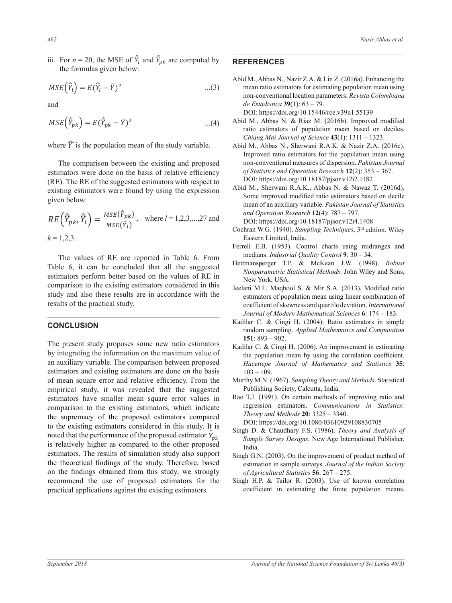iii. For  $n = 20$ , the MSE of  $\bar{Y}_l$  and  $\bar{Y}_{pk}$  are computed by **REFER** the formulas given below: are computed by the formulas given below:

ii. We use the data from 5000 samples in (i) to find the value of

ii. We use the data from 5000 samples in (i) to find the value of

$$
MSE\left(\widehat{Y}_l\right) = E\left(\widehat{Y}_l - \overline{Y}\right)^2 \qquad \qquad \dots (3)
$$

 $\frac{1}{2}$ and

$$
MSE\left(\hat{Y}_{pk}\right) = E(\hat{Y}_{pk} - \bar{Y})^2
$$
\n
$$
MSE\left(\hat{Y}_{pk} - \bar{Y}\right)^2
$$
\n
$$
MSE\left(\hat{Y}_{pk} - \bar{Y}\right)^2
$$
\n
$$
MSE\left(\hat{Y}_{pk} - \bar{Y}\right)^2
$$
\n
$$
MSE\left(\hat{Y}_{pk} - \bar{Y}\right)^2
$$
\n
$$
MSE\left(\hat{Y}_{pk} - \bar{Y}\right)^2
$$
\n
$$
MSE\left(\hat{Y}_{pk} - \bar{Y}\right)^2
$$
\n
$$
MSE\left(\hat{Y}_{pk} - \bar{Y}\right)^2
$$
\n
$$
MSE\left(\hat{Y}_{pk} - \bar{Y}\right)^2
$$
\n
$$
MSE\left(\hat{Y}_{pk} - \bar{Y}\right)^2
$$
\n
$$
MSE\left(\hat{Y}_{pk} - \bar{Y}\right)^2
$$
\n
$$
MSE\left(\hat{Y}_{pk} - \bar{Y}\right)^2
$$
\n
$$
MSE\left(\hat{Y}_{pk} - \bar{Y}\right)^2
$$
\n
$$
MSE\left(\hat{Y}_{pk} - \bar{Y}\right)^2
$$
\n
$$
MSE\left(\hat{Y}_{pk} - \bar{Y}\right)^2
$$
\n
$$
MSE\left(\hat{Y}_{pk} - \bar{Y}\right)^2
$$
\n
$$
MSE\left(\hat{Y}_{pk} - \bar{Y}\right)^2
$$
\n
$$
MSE\left(\hat{Y}_{pk} - \bar{Y}\right)^2
$$
\n
$$
MSE\left(\hat{Y}_{pk} - \bar{Y}\right)^2
$$
\n
$$
MSE\left(\hat{Y}_{pk} - \bar{Y}\right)^2
$$
\n
$$
MSE\left(\hat{Y}_{pk} - \bar{Y}\right)^2
$$
\n
$$
MSE\left(\hat{Y}_{pk} - \bar{Y}\right)^2
$$
\n
$$
MSE\left(\hat{Y}_{pk} - \bar{Y}\right)^2
$$
\n
$$
MSE\left(\hat{Y}_{pk} - \bar{Y}\right)^2
$$
\n
$$
MSE\left(\hat{Y}_{pk} - \bar{Y}\right)^2
$$
\n<math display="block</math>

*Chiang Mai Journal of Science*<br>
where  $\overline{Y}$  is the population mean of the study variable. Abid M., Abbas N., Sherwani R = (

estimators were done on the basis of relative efficiency<br>( $\overline{P}$ F). The  $\overline{P}$  F of the suggested estimators with respect to ESUITRALIS WERE ON THE BUSIS OF THE UPPER THE CONTROL OF THE CONTROL OF THE CONTROL OF THE CONTROL OF THE CONTROL OF THE CONTROL OF THE CONTROL OF THE CONTROL OF THE CONTROL OF THE CONTROL OF THE CONTROL OF THE CONTROL OF Table 1963 and the summer of such a suggested estimators with respect to the suggested estimators based on decile The comparison between the existing and proposed non-conventional measures of continuous continuous control of  $\mathbb{R}^n$  $(K<sub>E</sub>)$ . The KE of existing estimate existing estimators were found by using the expression  $\frac{\text{Abld M}}{\text{Some improved modified ratio estimators based on decile}}$ given below:

mean of an auxiliary variable. *Paksian Journal of Statistics*  
\n
$$
RE(\hat{Y}_{pk}, \hat{Y}_l) = \frac{MSE(\hat{Y}_{pk})}{MSE(\hat{Y}_l)},
$$
\nwhere  $l = 1, 2, 3, ..., 27$  and  
\n $k = 1, 2, 3, ..., 27$  and  
\n $Q_{\text{peration}} = 1, 2, 3, ..., 27$  and  
\n $Q_{\text{peration}} = 1, 2, 3, ..., 27$  and  
\n $Q_{\text{peration}} = 1, 2, 3, ..., 27$  and  
\n $Q_{\text{peration}} = 1, 2, 3, ..., 27$  and  
\n $Q_{\text{peration}} = 1, 2, 3, ..., 27$  and  
\n $Q_{\text{peration}} = 1, 2, 3, ..., 27$  and  
\n $Q_{\text{peration}} = 1, 2, 3, ..., 27$  and  
\n $Q_{\text{peration}} = 1, 2, 3, ..., 27$  and  
\n $Q_{\text{peration}} = 1, 2, 3, ..., 27$  and  
\n $Q_{\text{peration}} = 1, 2, 3, ..., 27$  and  
\n $Q_{\text{peration}} = 1, 2, 3, ..., 27$  and  
\n $Q_{\text{peration}} = 1, 2, 3, ..., 27$  and  
\n $Q_{\text{peration}} = 1, 2, 3, ..., 27$  and  
\n $Q_{\text{peration}} = 1, 2, 3, ..., 27$  and  
\n $Q_{\text{peration}} = 1, 2, 3, ..., 27$  and  
\n $Q_{\text{peration}} = 1, 2, 3, ..., 27$  and  
\n $Q_{\text{peration}} = 1, 2, 3, ..., 27$  and  
\n $Q_{\text{peration}} = 1, 2, 3, ..., 27$  and  
\n $Q_{\text{peration}} = 1, 2, 3, ..., 27$  and  
\n $Q_{\text{peration}} = 1, 2, 3, ..., 27$  and  
\n $Q_{\text$ 

The values of RE are reported in Table The values of KE are reported in Table 6. From<br>Table 6, it can be concluded that all the suggested Monographic Fraction of the concluded that an the suggested  $Nopparametric$  estimators perform better based on the values of RE in  $New York$  USA estimators perform better based on the values of  $KE$  in<br>comparison to the existing estimators considered in this  $J_{\text{eelan}}$ being standards considered in and Jeelan study and also these results are in accordance with the es results of the practical study.  $\alpha$  6.  $\mu$  can be concluded that all the 0.9592 0.9592 0.9531 0.9531 0.9531 0.9531 0.9531 0.9531 0.9531 0.9531 0.9531 0.9531 0.9531 0.9531 0.9531 0.953<br>2005 0.9531 0.9531 0.9531 0.9531 0.9531 0.9531 0.9531 0.9531 0.9531 0.9531 0.9531 0.9531 0.9531 0.9531 0.9531 The values of RE are reported in Table 6. From The values of RE are reported in Table 6. From  $\frac{\text{medians.} \text{ Industrial Quality Co}}{\text{Hettmansperger}}$  T.P. & McKee 0.981 0.977 0.978 Table 6, it can be concluded that all the suggested

0.9594 0.9557 0.9533

#### NCLUSION **DELLET DE LA SERVICION CONCLUSION**  $0.959601$ 0.9680 0.9680 0.9680 0.9680 0.9680 0.9680 0.9680 0.9680 0.9680 0.9680 0.9680 0.968  $\overline{a}$

 $\overline{a}$ 

The present study proposes some new ratio estimators Kadila<br>
In integrating the information on the maximum value of by integrating the information on the maximum value of  $\mathbb{R}^2$ estimators and existing estimators are done on the basis  $103 - 109$ . estimators and existing estimators are done on the values of mean square error and relative efficiency. From the Murthy M.N. (1967). Sampling The original of mean square error and relative efficiency. From the Murthy M.N. of mean square error and relative efficiency. From the Murthy M.N. (1967). Sampling The<br>empirical study, it was revealed that the suggested Publishing Society, Calcutta, In<br>relative to the special process of the study of t estimators have smaller mean square error values in Rao T.J. (1991). On certain meth the supremacy of the proposed estimators compared Theory and Methods 20: 332: to the existing estimators considered in this study. It is<br>to the existing estimators considered in this study. It is<br>Singh D. & Chaudhary F.S. (1986). **CONCLUSION CONCLUSION CONCLUSION CONCLUSION CONCLUSION CONCLUSION CONCLUSION CONCLUSION CONCLUSION** the theoretical findings of the study. Therefore, based<br>the theoretical findings of the study. Therefore, based<br>the stimation in sample surveys. on the findings obtained from this study, we strongly of Agricultural Statistics 56: recommend the use of proposed estimators for the Singh H.P. & Tailor R. (2003). external that the sustain the subset of an auxiliary values of an auxiliary values in (1999).<br>
maximum values in extension between proposed estimators coefficient in estimating the by integrating the information on the maximum value of  $\mu$  the annual proposed  $\mu$ comparison to the existing estimators, which indicate regression estimators. Come<br>the surremacy of the proposed estimators compared Theory and Methods 20:3325 At the ends of the ends of the ends estimator  $\frac{1}{2}$  Singh D. & Chaudhary F.S. (198) roced that the performance of the proposed estimate 0.9679 0.9679 0.974<br>1.974 0.974 0.974 0.974 0.974 0.974 0.974 0.974 0.974 0.974 0.974 0.974 0.974 0.974 0.974 0.974 0.974 0.974 0<br>1.974 0.974 0.974 0.974 0.974 0.974 0.974 0.974 0.974 0.974 0.974 0.974 0.974 0.974 0.974 0. noted that the performance of the proposed estimator  $\hat{Y}_{p3}$  Sungh D. & Chaudr is relatively higher as compared to the other proposed<br>
estimators The results of simulation study also support and also  $(2000)$ The present study proposes some new ratio estimators  $K_5$ an auxiliary variable. The comparison between proposed *Hacettepe Journal of Mathematics and Statistics* 35: mparison to the existing estimators, which indicate<br>supermacy of the proposed estimators compared<br> $$ Is relatively higher as compared to the other proposed<br>estimators. The results of simulation study also support Singh G.N. (2003). On the improvement of product method of on the intensity collained from this study, we strongly and algorithmical statistics 50, 201–215.<br>Fecommend the use of proposed estimators for the studied B & Tailor R (2003). Hee of known correlation practical applications against the existing estimators.  $\qquad \qquad \text{ce}$ 

0.9594 0.9594 0.95334 0.9534 0.9534 0.9534 0.9534 0.9534 0.9534 0.9534 0.9534 0.9534 0.9534

# **REFERENCES**

<u>and</u>

<u>and</u>

Abid M., Abbas N., Nazir Z.A. & Lin Z. (2016a). Enhancing the  $\frac{1}{(1-\overline{Y})^2}$  ...(3) mean ratio estimators for estimating population mean using  $\frac{1}{100}$  –  $\frac{1}{200}$  and  $\frac{1}{100}$  and  $\frac{1}{200}$  and  $\frac{1}{200}$  and  $\frac{1}{200}$  and  $\frac{1}{200}$  and  $\frac{1}{200}$  and  $\frac{1}{200}$  and  $\frac{1}{200}$  and  $\frac{1}{200}$  and  $\frac{1}{200}$  and  $\frac{1}{200}$  and  $\frac{1}{200}$  and non-conventional location parameters. *Revista Colombiana* 

. So, we obtain the set of  $\mathbb{R}^n$ 

. So, we obtain the set of  $\mathbb{R}^n$ 

 $\frac{1}{2}$  DOI: https://doi.org/10.15446/rce.v39n1.55139

- ratio estimators of population mean based on deciles. *Chiang Mai Journal of Science* **43**(1): 1311 – 1323.
- Improved ratio estimators for the population mean using The comparison between the existing and proposed non-conventional measures of relative on the basis of relative on the basis of relative on the basis of relative on the basis of relative on the basis of relative on the bas Chiang Mai Journal of Science 43(1): 1311 – 1323.<br>Abid M., Abbas N., Sherwani R.A.K. & Nazir Z.A. (2016c). non-conventional measures of dispersion. *Pakistan Journal of Statistics and Operation Research* **12**(2): 353 – 367. DOI: https://doi.org/10.18187/pjsor.v12i2.1182
- $\mathbf{d}$   $\mathbf{r}$ ana Operation Research **12**(4): *181 – 191*.<br>DOI: https://doi.org/10.18187/pjsor.v12i4.1408  $T = (2 \hat{p})$   $MSE(\hat{Y}_{nk})$  **b**  $I = (2 \hat{p})$  and Operation Research 12(4): 787 – 797. Abid M., Sherwani R.A.K., Abbas N. & Nawaz T. (2016d). mean of an auxiliary variable. *Pakistan Journal of Statistics* 
	-
	- Eastern Limited, India.
	- Eastern Limited, india.<br>Ferrell E.B. (1953). Control charts using midranges and 1.9859. Control charts asing the<br>
	le 6. From medians. *Industrial Quality Control* **9**: 30 – 34.
		- e o. From<br>expressed bettmansperger T.P. & McKean J.W. (1998). *Robust* suggested<br> *Nonparametric Statistical Methods*. John Wiley and Sons,<br>
		S of PE in  $\begin{array}{ll}\n\text{S} & \text{O} & \text{N} \\ \n\text{O} & \text{O} & \text{N} \\ \n\text{O} & \text{O} & \text{N} \n\end{array}$ on the values of KE in<br>
		New York, USA.<br>
		Jeelani M.I., Maqbool S. & Mir S.A. (2013). Modified ratio
		- $\begin{array}{ll}\n\text{lered in this} \\
		\text{Jelani M.I., Magbo} \\
		\text{ce with the\n}\end{array}$  $\text{c}$  or evith the estimators of population mean using linear combination of **Examples of population mean using mean comomation of**<br>coefficient of skewness and quartile deviation. *International*<br>*Lournal of Modern Mathematical Sciences* 6: 174 – 183 *Journal of Modern Mathematical Sciences* **6**: 174 – 183.  $J$ o $\overline{a}$  $\overline{\phantom{a}}$
		- Journal of Modern Mathematical Sciences 6: 1/4 183.<br>Kadilar C. & Cingi H. (2004). Ratio estimators in simple<br>random sampling. Applied Mathematics and Computation **151**: 893 – 902.<br> **151**: 893 – 902. random sampling. *Applied Mathematics and Computation* 5.9811<br>591 0.9821 0.982<br>591 0.982  $\frac{1}{15}$  $\blacksquare$ **151**: 893 – 902.<br>editor G. & Cinci H. (2000). An improvement  $\mathbf{r}$  and  $\mathbf{r}$  and  $\mathbf{r}$  means of the study variable.
		- $\frac{1}{2}$  estimators<br>  $\frac{1}{2}$  Kadilar C. & Cingi I n proposed<br> *Hacettepe Journal of Mathematics and Statistics* 35: the population mean by using the correlation coefficient.  $\tau$  present study proposes some new ratio estimators are done of and proposed estimating integrative in estimating integrative software domestic relative software  $\tau$  $103 - 109$ .
			- 0.9907 0.9891 0.9873 Murthy M.N. (1967). *Sampling Theory and Methods*. Statistical Publishing Society, Calcutta, India.
			- Rao T.J. (1991). On certain methods of improving ratio and<br>recreasion estimators. Communications in Statistics: regression estimators. *Communications in Statistics:*
			- DOI: https://doi.org/10.1080/03610929108830705 <sup>3</sup><br><sup>*P3</sup>, Sample Survey Designs*. New Age International Publisher,</sup> Singh D. & Chaudhary F.S. (1986). *Theory and Analysis of*  India.
	- estimators. The results of simulation study also support<br>the theoretical findings of the study. Therefore, based<br>estimation in sample surveys. Journal of the Indian Society 0.9869 0.9851 0.9833 *of Agricultural Statistics* **56**: 267 – 275.
		- Singh H.P.  $\&$  Tailor R. (2003). Use of known correlation coefficient in estimating the finite population means coefficient in estimating the finite population means.

 $\overline{\phantom{a}}$ 

0.9929 0.9929 0.9929 0.9929 0.9929 0.9929 0.9929 0.9929 0.9929 0.9929 0.9929 0.9929 0.9929 0.9929 0.9929 0.99